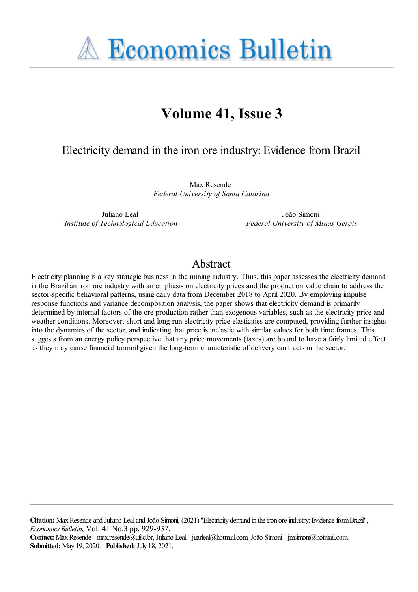**A Economics Bulletin** 

# **Volume 41, Issue 3**

### Electricity demand in the iron ore industry: Evidence fromBrazil

Max Resende *Federal University of Santa Catarina*

Juliano Leal *Institute of Technological Education*

João Simoni *Federal University of Minas Gerais*

### Abstract

Electricity planning is a key strategic business in the mining industry. Thus, this paper assesses the electricity demand in the Brazilian iron ore industry with an emphasis on electricity prices and the production value chain to address the sector-specific behavioral patterns, using daily data from December 2018 to April 2020. By employing impulse response functions and variance decomposition analysis, the paper shows that electricity demand is primarily determined by internal factors of the ore production rather than exogenous variables, such as the electricity price and weather conditions. Moreover, short and long-run electricity price elasticities are computed, providing further insights into the dynamics of the sector, and indicating that price is inelastic with similar values for both time frames. This suggests from an energy policy perspective that any price movements (taxes) are bound to have a fairly limited effect as they may cause financial turmoil given the long-term characteristic of delivery contracts in the sector.

**Citation:** MaxResendeand Juliano Lealand João Simoni, (2021) ''Electricity demand in theiron oreindustry:EvidencefromBrazil'', *Economics Bulletin*, Vol. 41 No.3 pp. 929-937.

**Contact:** MaxResende- max.resende@ufsc.br, Juliano Leal- juarleal@hotmail.com, João Simoni- jmsimoni@hotmail.com. **Submitted:** May 19, 2020. **Published:** July 18, 2021.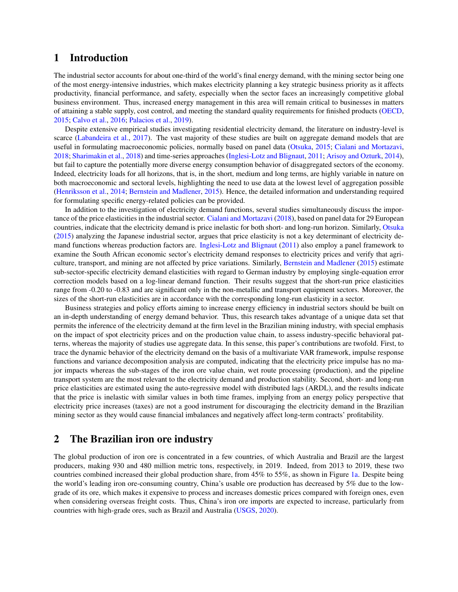#### 1 Introduction

The industrial sector accounts for about one-third of the world's final energy demand, with the mining sector being one of the most energy-intensive industries, which makes electricity planning a key strategic business priority as it affects productivity, financial performance, and safety, especially when the sector faces an increasingly competitive global business environment. Thus, increased energy management in this area will remain critical to businesses in matters of attaining a stable supply, cost control, and meeting the standard quality requirements for finished products (OECD, 2015; Calvo et al., 2016; Palacios et al., 2019).

Despite extensive empirical studies investigating residential electricity demand, the literature on industry-level is scarce (Labandeira et al., 2017). The vast majority of these studies are built on aggregate demand models that are useful in formulating macroeconomic policies, normally based on panel data (Otsuka, 2015; Cialani and Mortazavi, 2018; Sharimakin et al., 2018) and time-series approaches (Inglesi-Lotz and Blignaut, 2011; Arisoy and Ozturk, 2014), but fail to capture the potentially more diverse energy consumption behavior of disaggregated sectors of the economy. Indeed, electricity loads for all horizons, that is, in the short, medium and long terms, are highly variable in nature on both macroeconomic and sectoral levels, highlighting the need to use data at the lowest level of aggregation possible (Henriksson et al., 2014; Bernstein and Madlener, 2015). Hence, the detailed information and understanding required for formulating specific energy-related policies can be provided.

In addition to the investigation of electricity demand functions, several studies simultaneously discuss the importance of the price elasticities in the industrial sector. Cialani and Mortazavi (2018), based on panel data for 29 European countries, indicate that the electricity demand is price inelastic for both short- and long-run horizon. Similarly, Otsuka (2015) analyzing the Japanese industrial sector, argues that price elasticity is not a key determinant of electricity demand functions whereas production factors are. Inglesi-Lotz and Blignaut (2011) also employ a panel framework to examine the South African economic sector's electricity demand responses to electricity prices and verify that agriculture, transport, and mining are not affected by price variations. Similarly, Bernstein and Madlener (2015) estimate sub-sector-specific electricity demand elasticities with regard to German industry by employing single-equation error correction models based on a log-linear demand function. Their results suggest that the short-run price elasticities range from -0.20 to -0.83 and are significant only in the non-metallic and transport equipment sectors. Moreover, the sizes of the short-run elasticities are in accordance with the corresponding long-run elasticity in a sector.

Business strategies and policy efforts aiming to increase energy efficiency in industrial sectors should be built on an in-depth understanding of energy demand behavior. Thus, this research takes advantage of a unique data set that permits the inference of the electricity demand at the firm level in the Brazilian mining industry, with special emphasis on the impact of spot electricity prices and on the production value chain, to assess industry-specific behavioral patterns, whereas the majority of studies use aggregate data. In this sense, this paper's contributions are twofold. First, to trace the dynamic behavior of the electricity demand on the basis of a multivariate VAR framework, impulse response functions and variance decomposition analysis are computed, indicating that the electricity price impulse has no major impacts whereas the sub-stages of the iron ore value chain, wet route processing (production), and the pipeline transport system are the most relevant to the electricity demand and production stability. Second, short- and long-run price elasticities are estimated using the auto-regressive model with distributed lags (ARDL), and the results indicate that the price is inelastic with similar values in both time frames, implying from an energy policy perspective that electricity price increases (taxes) are not a good instrument for discouraging the electricity demand in the Brazilian mining sector as they would cause financial imbalances and negatively affect long-term contracts' profitability.

#### 2 The Brazilian iron ore industry

The global production of iron ore is concentrated in a few countries, of which Australia and Brazil are the largest producers, making 930 and 480 million metric tons, respectively, in 2019. Indeed, from 2013 to 2019, these two countries combined increased their global production share, from 45% to 55%, as shown in Figure 1a. Despite being the world's leading iron ore-consuming country, China's usable ore production has decreased by 5% due to the lowgrade of its ore, which makes it expensive to process and increases domestic prices compared with foreign ones, even when considering overseas freight costs. Thus, China's iron ore imports are expected to increase, particularly from countries with high-grade ores, such as Brazil and Australia (USGS, 2020).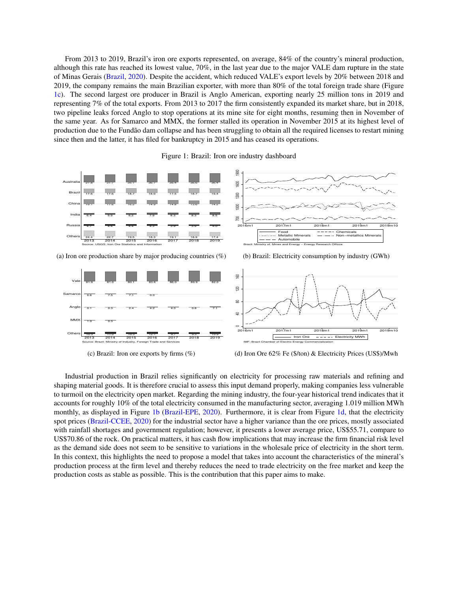From 2013 to 2019, Brazil's iron ore exports represented, on average, 84% of the country's mineral production, although this rate has reached its lowest value, 70%, in the last year due to the major VALE dam rupture in the state of Minas Gerais (Brazil, 2020). Despite the accident, which reduced VALE's export levels by 20% between 2018 and 2019, the company remains the main Brazilian exporter, with more than 80% of the total foreign trade share (Figure [1c\)](#page-2-0). The second largest ore producer in Brazil is Anglo American, exporting nearly 25 million tons in 2019 and representing 7% of the total exports. From 2013 to 2017 the firm consistently expanded its market share, but in 2018, two pipeline leaks forced Anglo to stop operations at its mine site for eight months, resuming then in November of the same year. As for Samarco and MMX, the former stalled its operation in November 2015 at its highest level of production due to the Fundão dam collapse and has been struggling to obtain all the required licenses to restart mining since then and the latter, it has filed for bankruptcy in 2015 and has ceased its operations.

Figure 1: Brazil: Iron ore industry dashboard

<span id="page-2-0"></span>

(c) Brazil: Iron ore exports by firms  $(\%)$ 

(d) Iron Ore 62% Fe (\$/ton) & Electricity Prices (US\$)/Mwh

Industrial production in Brazil relies significantly on electricity for processing raw materials and refining and shaping material goods. It is therefore crucial to assess this input demand properly, making companies less vulnerable to turmoil on the electricity open market. Regarding the mining industry, the four-year historical trend indicates that it accounts for roughly 10% of the total electricity consumed in the manufacturing sector, averaging 1.019 million MWh monthly, as displayed in Figure [1b](#page-2-0) (Brazil-EPE, 2020). Furthermore, it is clear from Figure [1d,](#page-2-0) that the electricity spot prices (Brazil-CCEE, 2020) for the industrial sector have a higher variance than the ore prices, mostly associated with rainfall shortages and government regulation; however, it presents a lower average price, US\$55.71, compare to US\$70.86 of the rock. On practical matters, it has cash flow implications that may increase the firm financial risk level as the demand side does not seem to be sensitive to variations in the wholesale price of electricity in the short term. In this context, this highlights the need to propose a model that takes into account the characteristics of the mineral's production process at the firm level and thereby reduces the need to trade electricity on the free market and keep the production costs as stable as possible. This is the contribution that this paper aims to make.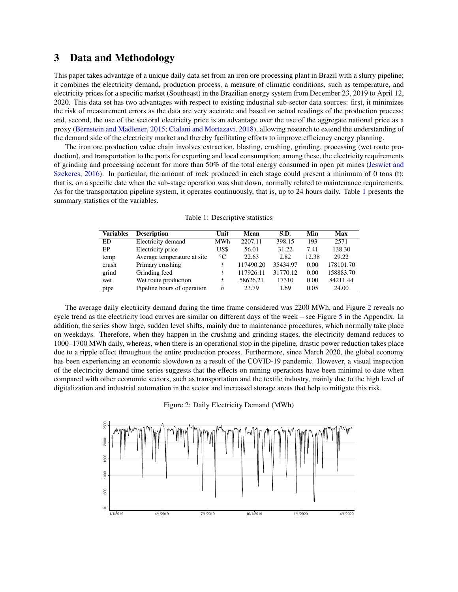#### 3 Data and Methodology

This paper takes advantage of a unique daily data set from an iron ore processing plant in Brazil with a slurry pipeline; it combines the electricity demand, production process, a measure of climatic conditions, such as temperature, and electricity prices for a specific market (Southeast) in the Brazilian energy system from December 23, 2019 to April 12, 2020. This data set has two advantages with respect to existing industrial sub-sector data sources: first, it minimizes the risk of measurement errors as the data are very accurate and based on actual readings of the production process; and, second, the use of the sectoral electricity price is an advantage over the use of the aggregate national price as a proxy (Bernstein and Madlener, 2015; Cialani and Mortazavi, 2018), allowing research to extend the understanding of the demand side of the electricity market and thereby facilitating efforts to improve efficiency energy planning.

The iron ore production value chain involves extraction, blasting, crushing, grinding, processing (wet route production), and transportation to the ports for exporting and local consumption; among these, the electricity requirements of grinding and processing account for more than 50% of the total energy consumed in open pit mines (Jeswiet and Szekeres, 2016). In particular, the amount of rock produced in each stage could present a minimum of 0 tons (t); that is, on a specific date when the sub-stage operation was shut down, normally related to maintenance requirements. As for the transportation pipeline system, it operates continuously, that is, up to 24 hours daily. Table [1](#page-3-0) presents the summary statistics of the variables.

<span id="page-3-0"></span>

| Variables | <b>Description</b>          | Unit        | Mean      | S.D.     | Min   | Max       |
|-----------|-----------------------------|-------------|-----------|----------|-------|-----------|
| ED        | Electricity demand          | MWh         | 2207.11   | 398.15   | 193   | 2571      |
| EP        | Electricity price           | US\$        | 56.01     | 31.22    | 7.41  | 138.30    |
| temp      | Average temperature at site | $^{\circ}C$ | 22.63     | 2.82     | 12.38 | 29.22     |
| crush     | Primary crushing            |             | 117490.20 | 35434.97 | 0.00  | 178101.70 |
| grind     | Grinding feed               |             | 117926.11 | 31770.12 | 0.00  | 158883.70 |
| wet       | Wet route production        |             | 58626.21  | 17310    | 0.00  | 84211.44  |
| pipe      | Pipeline hours of operation | h.          | 23.79     | 1.69     | 0.05  | 24.00     |

Table 1: Descriptive statistics

The average daily electricity demand during the time frame considered was 2200 MWh, and Figure [2](#page-3-1) reveals no cycle trend as the electricity load curves are similar on different days of the week – see Figure 5 in the Appendix. In addition, the series show large, sudden level shifts, mainly due to maintenance procedures, which normally take place on weekdays. Therefore, when they happen in the crushing and grinding stages, the electricity demand reduces to 1000–1700 MWh daily, whereas, when there is an operational stop in the pipeline, drastic power reduction takes place due to a ripple effect throughout the entire production process. Furthermore, since March 2020, the global economy has been experiencing an economic slowdown as a result of the COVID-19 pandemic. However, a visual inspection of the electricity demand time series suggests that the effects on mining operations have been minimal to date when compared with other economic sectors, such as transportation and the textile industry, mainly due to the high level of digitalization and industrial automation in the sector and increased storage areas that help to mitigate this risk.

Figure 2: Daily Electricity Demand (MWh)

<span id="page-3-1"></span>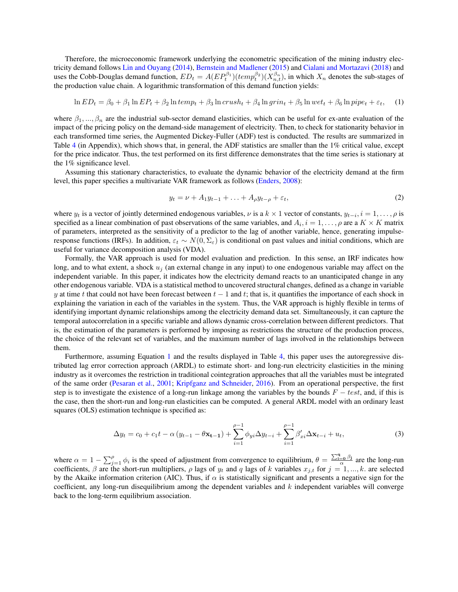Therefore, the microeconomic framework underlying the econometric specification of the mining industry electricity demand follows Lin and Ouyang (2014), Bernstein and Madlener (2015) and Cialani and Mortazavi (2018) and uses the Cobb-Douglas demand function,  $ED_t = A(EP_t^{\beta_1})(temp_t^{\beta_2})(X_{n,t}^{\beta_n})$ , in which  $X_n$  denotes the sub-stages of the production value chain. A logarithmic transformation of this demand function yields:

<span id="page-4-0"></span>
$$
\ln ED_t = \beta_0 + \beta_1 \ln EP_t + \beta_2 \ln temp_t + \beta_3 \ln crush_t + \beta_4 \ln grin_t + \beta_5 \ln wet_t + \beta_6 \ln pipe_t + \varepsilon_t,
$$
 (1)

where  $\beta_1, ..., \beta_n$  are the industrial sub-sector demand elasticities, which can be useful for ex-ante evaluation of the impact of the pricing policy on the demand-side management of electricity. Then, to check for stationarity behavior in each transformed time series, the Augmented Dickey-Fuller (ADF) test is conducted. The results are summarized in Table 4 (in Appendix), which shows that, in general, the ADF statistics are smaller than the 1% critical value, except for the price indicator. Thus, the test performed on its first difference demonstrates that the time series is stationary at the 1% significance level.

Assuming this stationary characteristics, to evaluate the dynamic behavior of the electricity demand at the firm level, this paper specifies a multivariate VAR framework as follows (Enders, 2008):

$$
y_t = \nu + A_1 y_{t-1} + \ldots + A_\rho y_{t-\rho} + \varepsilon_t,\tag{2}
$$

where  $y_t$  is a vector of jointly determined endogenous variables,  $\nu$  is a  $k \times 1$  vector of constants,  $y_{t-i}$ ,  $i = 1, \ldots, \rho$  is specified as a linear combination of past observations of the same variables, and  $A_i$ ,  $i = 1, \ldots, \rho$  are a  $K \times K$  matrix of parameters, interpreted as the sensitivity of a predictor to the lag of another variable, hence, generating impulseresponse functions (IRFs). In addition,  $\varepsilon_t \sim N(0, \Sigma_{\varepsilon})$  is conditional on past values and initial conditions, which are useful for variance decomposition analysis (VDA).

Formally, the VAR approach is used for model evaluation and prediction. In this sense, an IRF indicates how long, and to what extent, a shock  $u_j$  (an external change in any input) to one endogenous variable may affect on the independent variable. In this paper, it indicates how the electricity demand reacts to an unanticipated change in any other endogenous variable. VDA is a statistical method to uncovered structural changes, defined as a change in variable y at time t that could not have been forecast between  $t - 1$  and t; that is, it quantifies the importance of each shock in explaining the variation in each of the variables in the system. Thus, the VAR approach is highly flexible in terms of identifying important dynamic relationships among the electricity demand data set. Simultaneously, it can capture the temporal autocorrelation in a specific variable and allows dynamic cross-correlation between different predictors. That is, the estimation of the parameters is performed by imposing as restrictions the structure of the production process, the choice of the relevant set of variables, and the maximum number of lags involved in the relationships between them.

Furthermore, assuming Equation [1](#page-4-0) and the results displayed in Table 4, this paper uses the autoregressive distributed lag error correction approach (ARDL) to estimate short- and long-run electricity elasticities in the mining industry as it overcomes the restriction in traditional cointegration approaches that all the variables must be integrated of the same order (Pesaran et al., 2001; Kripfganz and Schneider, 2016). From an operational perspective, the first step is to investigate the existence of a long-run linkage among the variables by the bounds  $F - test$ , and, if this is the case, then the short-run and long-run elasticities can be computed. A general ARDL model with an ordinary least squares (OLS) estimation technique is specified as:

<span id="page-4-1"></span>
$$
\Delta y_t = c_0 + c_1 t - \alpha (y_{t-1} - \theta \mathbf{x_{t-1}}) + \sum_{i=1}^{\rho-1} \phi_{yi} \Delta y_{t-i} + \sum_{i=1}^{\rho-1} \beta'_{xi} \Delta \mathbf{x}_{t-i} + u_t,
$$
\n(3)

where  $\alpha = 1 - \sum_{j=1}^{\rho} \phi_i$  is the speed of adjustment from convergence to equilibrium,  $\theta = \frac{\sum_{i=0}^{q} \beta_i}{\alpha}$  $rac{\equiv 0 \frac{\rho_j}{\alpha}}{\alpha}$  are the long-run coefficients,  $\beta$  are the short-run multipliers,  $\rho$  lags of  $y_t$  and q lags of k variables  $x_{j,t}$  for  $j = 1, ..., k$ . are selected by the Akaike information criterion (AIC). Thus, if  $\alpha$  is statistically significant and presents a negative sign for the coefficient, any long-run disequilibrium among the dependent variables and  $k$  independent variables will converge back to the long-term equilibrium association.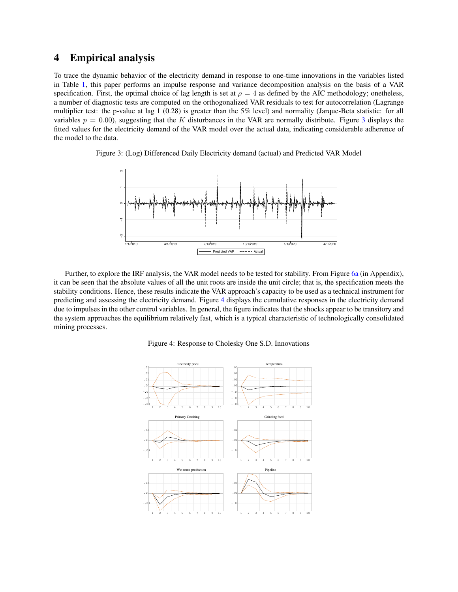#### 4 Empirical analysis

To trace the dynamic behavior of the electricity demand in response to one-time innovations in the variables listed in Table [1,](#page-3-0) this paper performs an impulse response and variance decomposition analysis on the basis of a VAR specification. First, the optimal choice of lag length is set at  $\rho = 4$  as defined by the AIC methodology; onetheless, a number of diagnostic tests are computed on the orthogonalized VAR residuals to test for autocorrelation (Lagrange multiplier test: the p-value at lag 1 (0.28) is greater than the 5% level) and normality (Jarque-Beta statistic: for all variables  $p = 0.00$ , suggesting that the K disturbances in the VAR are normally distribute. Figure [3](#page-5-0) displays the fitted values for the electricity demand of the VAR model over the actual data, indicating considerable adherence of the model to the data.

<span id="page-5-0"></span>



Further, to explore the IRF analysis, the VAR model needs to be tested for stability. From Figure 6a (in Appendix), it can be seen that the absolute values of all the unit roots are inside the unit circle; that is, the specification meets the stability conditions. Hence, these results indicate the VAR approach's capacity to be used as a technical instrument for predicting and assessing the electricity demand. Figure [4](#page-5-1) displays the cumulative responses in the electricity demand due to impulses in the other control variables. In general, the figure indicates that the shocks appear to be transitory and the system approaches the equilibrium relatively fast, which is a typical characteristic of technologically consolidated mining processes.



<span id="page-5-1"></span>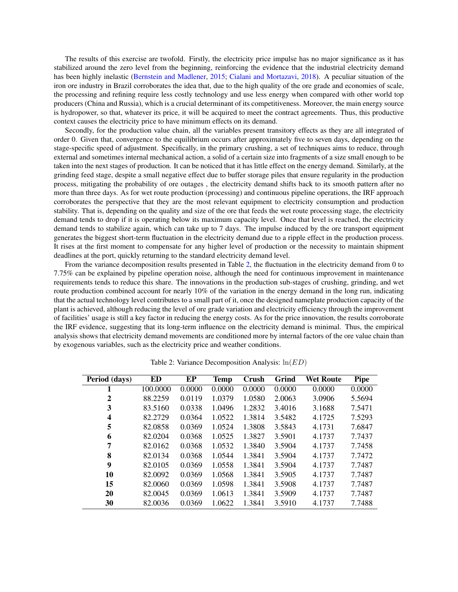The results of this exercise are twofold. Firstly, the electricity price impulse has no major significance as it has stabilized around the zero level from the beginning, reinforcing the evidence that the industrial electricity demand has been highly inelastic (Bernstein and Madlener, 2015; Cialani and Mortazavi, 2018). A peculiar situation of the iron ore industry in Brazil corroborates the idea that, due to the high quality of the ore grade and economies of scale, the processing and refining require less costly technology and use less energy when compared with other world top producers (China and Russia), which is a crucial determinant of its competitiveness. Moreover, the main energy source is hydropower, so that, whatever its price, it will be acquired to meet the contract agreements. Thus, this productive context causes the electricity price to have minimum effects on its demand.

Secondly, for the production value chain, all the variables present transitory effects as they are all integrated of order 0. Given that, convergence to the equilibrium occurs after approximately five to seven days, depending on the stage-specific speed of adjustment. Specifically, in the primary crushing, a set of techniques aims to reduce, through external and sometimes internal mechanical action, a solid of a certain size into fragments of a size small enough to be taken into the next stages of production. It can be noticed that it has little effect on the energy demand. Similarly, at the grinding feed stage, despite a small negative effect due to buffer storage piles that ensure regularity in the production process, mitigating the probability of ore outages , the electricity demand shifts back to its smooth pattern after no more than three days. As for wet route production (processing) and continuous pipeline operations, the IRF approach corroborates the perspective that they are the most relevant equipment to electricity consumption and production stability. That is, depending on the quality and size of the ore that feeds the wet route processing stage, the electricity demand tends to drop if it is operating below its maximum capacity level. Once that level is reached, the electricity demand tends to stabilize again, which can take up to 7 days. The impulse induced by the ore transport equipment generates the biggest short-term fluctuation in the electricity demand due to a ripple effect in the production process. It rises at the first moment to compensate for any higher level of production or the necessity to maintain shipment deadlines at the port, quickly returning to the standard electricity demand level.

From the variance decomposition results presented in Table [2,](#page-6-0) the fluctuation in the electricity demand from 0 to 7.75% can be explained by pipeline operation noise, although the need for continuous improvement in maintenance requirements tends to reduce this share. The innovations in the production sub-stages of crushing, grinding, and wet route production combined account for nearly 10% of the variation in the energy demand in the long run, indicating that the actual technology level contributes to a small part of it, once the designed nameplate production capacity of the plant is achieved, although reducing the level of ore grade variation and electricity efficiency through the improvement of facilities' usage is still a key factor in reducing the energy costs. As for the price innovation, the results corroborate the IRF evidence, suggesting that its long-term influence on the electricity demand is minimal. Thus, the empirical analysis shows that electricity demand movements are conditioned more by internal factors of the ore value chain than by exogenous variables, such as the electricity price and weather conditions.

<span id="page-6-0"></span>

| Period (days) | ED       | EP     | <b>Temp</b> | Crush  | Grind  | <b>Wet Route</b> | Pipe   |
|---------------|----------|--------|-------------|--------|--------|------------------|--------|
| 1             | 100.0000 | 0.0000 | 0.0000      | 0.0000 | 0.0000 | 0.0000           | 0.0000 |
| 2             | 88.2259  | 0.0119 | 1.0379      | 1.0580 | 2.0063 | 3.0906           | 5.5694 |
| 3             | 83.5160  | 0.0338 | 1.0496      | 1.2832 | 3.4016 | 3.1688           | 7.5471 |
| 4             | 82.2729  | 0.0364 | 1.0522      | 1.3814 | 3.5482 | 4.1725           | 7.5293 |
| 5             | 82.0858  | 0.0369 | 1.0524      | 1.3808 | 3.5843 | 4.1731           | 7.6847 |
| 6             | 82.0204  | 0.0368 | 1.0525      | 1.3827 | 3.5901 | 4.1737           | 7.7437 |
| 7             | 82.0162  | 0.0368 | 1.0532      | 1.3840 | 3.5904 | 4.1737           | 7.7458 |
| 8             | 82.0134  | 0.0368 | 1.0544      | 1.3841 | 3.5904 | 4.1737           | 7.7472 |
| 9             | 82.0105  | 0.0369 | 1.0558      | 1.3841 | 3.5904 | 4.1737           | 7.7487 |
| 10            | 82.0092  | 0.0369 | 1.0568      | 1.3841 | 3.5905 | 4.1737           | 7.7487 |
| 15            | 82.0060  | 0.0369 | 1.0598      | 1.3841 | 3.5908 | 4.1737           | 7.7487 |
| 20            | 82.0045  | 0.0369 | 1.0613      | 1.3841 | 3.5909 | 4.1737           | 7.7487 |
| 30            | 82.0036  | 0.0369 | 1.0622      | 1.3841 | 3.5910 | 4.1737           | 7.7488 |

Table 2: Variance Decomposition Analysis:  $ln(ED)$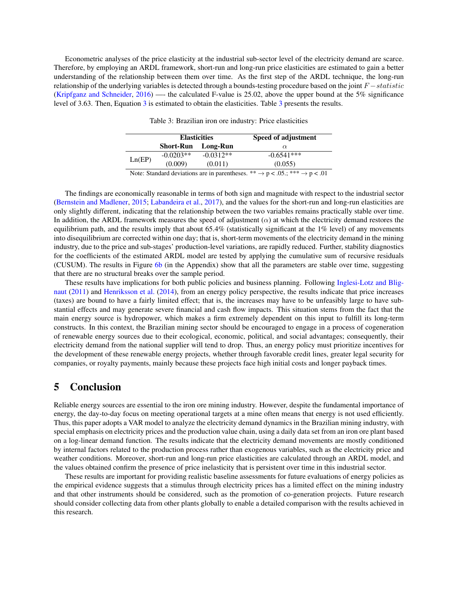Econometric analyses of the price elasticity at the industrial sub-sector level of the electricity demand are scarce. Therefore, by employing an ARDL framework, short-run and long-run price elasticities are estimated to gain a better understanding of the relationship between them over time. As the first step of the ARDL technique, the long-run relationship of the underlying variables is detected through a bounds-testing procedure based on the joint  $F - statistic$ (Kripfganz and Schneider, 2016) —- the calculated F-value is 25.02, above the upper bound at the 5% significance level of 3.63. Then, Equation [3](#page-4-1) is estimated to obtain the elasticities. Table [3](#page-7-0) presents the results.

|        | <b>Elasticities</b> |             | Speed of adjustment |
|--------|---------------------|-------------|---------------------|
|        | <b>Short-Run</b>    | Long-Run    | $\alpha$            |
| Ln(EP) | $-0.0203**$         | $-0.0312**$ | $-0.6541***$        |
|        | (0.009)             | (0.011)     | (0.055)             |

Table 3: Brazilian iron ore industry: Price elasticities

Note: Standard deviations are in parentheses. \*\*  $\rightarrow$  p < .05.; \*\*\*  $\rightarrow$  p < .01

<span id="page-7-0"></span>The findings are economically reasonable in terms of both sign and magnitude with respect to the industrial sector (Bernstein and Madlener, 2015; Labandeira et al., 2017), and the values for the short-run and long-run elasticities are only slightly different, indicating that the relationship between the two variables remains practically stable over time. In addition, the ARDL framework measures the speed of adjustment  $(\alpha)$  at which the electricity demand restores the equilibrium path, and the results imply that about 65.4% (statistically significant at the 1% level) of any movements into disequilibrium are corrected within one day; that is, short-term movements of the electricity demand in the mining industry, due to the price and sub-stages' production-level variations, are rapidly reduced. Further, stability diagnostics for the coefficients of the estimated ARDL model are tested by applying the cumulative sum of recursive residuals (CUSUM). The results in Figure 6b (in the Appendix) show that all the parameters are stable over time, suggesting that there are no structural breaks over the sample period.

These results have implications for both public policies and business planning. Following Inglesi-Lotz and Blignaut (2011) and Henriksson et al. (2014), from an energy policy perspective, the results indicate that price increases (taxes) are bound to have a fairly limited effect; that is, the increases may have to be unfeasibly large to have substantial effects and may generate severe financial and cash flow impacts. This situation stems from the fact that the main energy source is hydropower, which makes a firm extremely dependent on this input to fulfill its long-term constructs. In this context, the Brazilian mining sector should be encouraged to engage in a process of cogeneration of renewable energy sources due to their ecological, economic, political, and social advantages; consequently, their electricity demand from the national supplier will tend to drop. Thus, an energy policy must prioritize incentives for the development of these renewable energy projects, whether through favorable credit lines, greater legal security for companies, or royalty payments, mainly because these projects face high initial costs and longer payback times.

#### 5 Conclusion

Reliable energy sources are essential to the iron ore mining industry. However, despite the fundamental importance of energy, the day-to-day focus on meeting operational targets at a mine often means that energy is not used efficiently. Thus, this paper adopts a VAR model to analyze the electricity demand dynamics in the Brazilian mining industry, with special emphasis on electricity prices and the production value chain, using a daily data set from an iron ore plant based on a log-linear demand function. The results indicate that the electricity demand movements are mostly conditioned by internal factors related to the production process rather than exogenous variables, such as the electricity price and weather conditions. Moreover, short-run and long-run price elasticities are calculated through an ARDL model, and the values obtained confirm the presence of price inelasticity that is persistent over time in this industrial sector.

These results are important for providing realistic baseline assessments for future evaluations of energy policies as the empirical evidence suggests that a stimulus through electricity prices has a limited effect on the mining industry and that other instruments should be considered, such as the promotion of co-generation projects. Future research should consider collecting data from other plants globally to enable a detailed comparison with the results achieved in this research.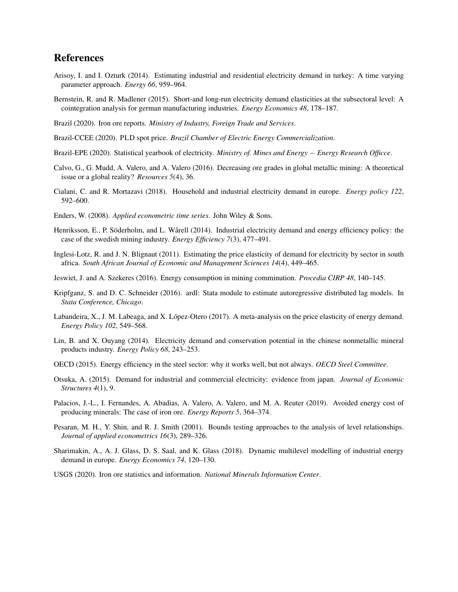### References

- Arisoy, I. and I. Ozturk (2014). Estimating industrial and residential electricity demand in turkey: A time varying parameter approach. *Energy 66*, 959–964.
- Bernstein, R. and R. Madlener (2015). Short-and long-run electricity demand elasticities at the subsectoral level: A cointegration analysis for german manufacturing industries. *Energy Economics 48*, 178–187.
- Brazil (2020). Iron ore reports. *Ministry of Industry, Foreign Trade and Services*.
- Brazil-CCEE (2020). PLD spot price. *Brazil Chamber of Electric Energy Commercialization*.
- Brazil-EPE (2020). Statistical yearbook of electricity. *Ministry of. Mines and Energy* − *Energy Research Officce*.
- Calvo, G., G. Mudd, A. Valero, and A. Valero (2016). Decreasing ore grades in global metallic mining: A theoretical issue or a global reality? *Resources 5*(4), 36.
- Cialani, C. and R. Mortazavi (2018). Household and industrial electricity demand in europe. *Energy policy 122*, 592–600.
- Enders, W. (2008). *Applied econometric time series*. John Wiley & Sons.
- Henriksson, E., P. Söderholm, and L. Wårell (2014). Industrial electricity demand and energy efficiency policy: the case of the swedish mining industry. *Energy Efficiency 7*(3), 477–491.
- Inglesi-Lotz, R. and J. N. Blignaut (2011). Estimating the price elasticity of demand for electricity by sector in south africa. *South African Journal of Economic and Management Sciences 14*(4), 449–465.
- Jeswiet, J. and A. Szekeres (2016). Energy consumption in mining comminution. *Procedia CIRP 48*, 140–145.
- Kripfganz, S. and D. C. Schneider (2016). ardl: Stata module to estimate autoregressive distributed lag models. In *Stata Conference, Chicago*.
- Labandeira, X., J. M. Labeaga, and X. López-Otero (2017). A meta-analysis on the price elasticity of energy demand. *Energy Policy 102*, 549–568.
- Lin, B. and X. Ouyang (2014). Electricity demand and conservation potential in the chinese nonmetallic mineral products industry. *Energy Policy 68*, 243–253.
- OECD (2015). Energy efficiency in the steel sector: why it works well, but not always. *OECD Steel Committee*.
- Otsuka, A. (2015). Demand for industrial and commercial electricity: evidence from japan. *Journal of Economic Structures 4*(1), 9.
- Palacios, J.-L., I. Fernandes, A. Abadias, A. Valero, A. Valero, and M. A. Reuter (2019). Avoided energy cost of producing minerals: The case of iron ore. *Energy Reports 5*, 364–374.
- Pesaran, M. H., Y. Shin, and R. J. Smith (2001). Bounds testing approaches to the analysis of level relationships. *Journal of applied econometrics 16*(3), 289–326.
- Sharimakin, A., A. J. Glass, D. S. Saal, and K. Glass (2018). Dynamic multilevel modelling of industrial energy demand in europe. *Energy Economics 74*, 120–130.
- USGS (2020). Iron ore statistics and information. *National Minerals Information Center*.